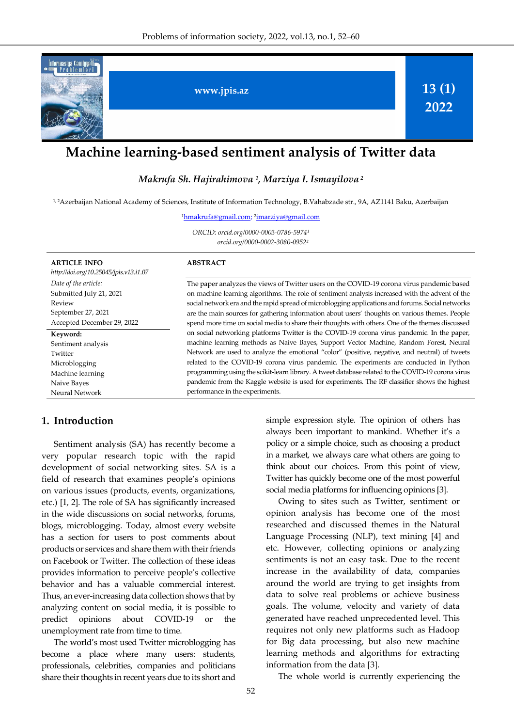

# **Machine learning-based sentiment analysis of Twitter data**

*Makrufa Sh. Hajirahimova <sup>1</sup> , Marziya I. Ismayilova <sup>2</sup>*

1, 2Azerbaijan National Academy of Sciences, Institute of Information Technology, B.Vahabzade str., 9A, AZ1141 Baku, Azerbaijan

<sup>1</sup>[hmakrufa@gmail.com;](mailto:hmakrufa@gmail.com) <sup>2</sup> [imarziya@gmail.com](mailto:imarziya@gmail.com)

*ORCID: orcid.org/0000-0003-0786-5974<sup>1</sup> orcid.org/0000-0002-3080-0952<sup>2</sup>*

| <b>ARTICLE INFO</b><br>http://doi.org/10.25045/jpis.v13.i1.07 | <b>ABSTRACT</b>                                                                                   |
|---------------------------------------------------------------|---------------------------------------------------------------------------------------------------|
| Date of the article:                                          | The paper analyzes the views of Twitter users on the COVID-19 corona virus pandemic based         |
| Submitted July 21, 2021                                       | on machine learning algorithms. The role of sentiment analysis increased with the advent of the   |
| Review                                                        | social network era and the rapid spread of microblogging applications and forums. Social networks |
| September 27, 2021                                            | are the main sources for gathering information about users' thoughts on various themes. People    |
| Accepted December 29, 2022                                    | spend more time on social media to share their thoughts with others. One of the themes discussed  |
| Keyword:                                                      | on social networking platforms Twitter is the COVID-19 corona virus pandemic. In the paper,       |
| Sentiment analysis                                            | machine learning methods as Naive Bayes, Support Vector Machine, Random Forest, Neural            |
| Twitter                                                       | Network are used to analyze the emotional "color" (positive, negative, and neutral) of tweets     |
| Microblogging                                                 | related to the COVID-19 corona virus pandemic. The experiments are conducted in Python            |
| Machine learning                                              | programming using the scikit-learn library. A tweet database related to the COVID-19 corona virus |
| Naive Bayes                                                   | pandemic from the Kaggle website is used for experiments. The RF classifier shows the highest     |
| <b>Neural Network</b>                                         | performance in the experiments.                                                                   |

### **1. Introduction**

Sentiment analysis (SA) has recently become a very popular research topic with the rapid development of social networking sites. SA is a field of research that examines people's opinions on various issues (products, events, organizations, etc.) [1, 2]. The role of SA has significantly increased in the wide discussions on social networks, forums, blogs, microblogging. Today, almost every website has a section for users to post comments about products or services and share them with their friends on Facebook or Twitter. The collection of these ideas provides information to perceive people's collective behavior and has a valuable commercial interest. Thus, an ever-increasing data collection shows that by analyzing content on social media, it is possible to predict opinions about COVID-19 or the unemployment rate from time to time.

The world's most used Twitter microblogging has become a place where many users: students, professionals, celebrities, companies and politicians share their thoughts in recent years due to its short and simple expression style. The opinion of others has always been important to mankind. Whether it's a policy or a simple choice, such as choosing a product in a market, we always care what others are going to think about our choices. From this point of view, Twitter has quickly become one of the most powerful social media platforms for influencing opinions [3].

Owing to sites such as Twitter, sentiment or opinion analysis has become one of the most researched and discussed themes in the Natural Language Processing (NLP), text mining [4] and etc. However, collecting opinions or analyzing sentiments is not an easy task. Due to the recent increase in the availability of data, companies around the world are trying to get insights from data to solve real problems or achieve business goals. The volume, velocity and variety of data generated have reached unprecedented level. This requires not only new platforms such as Hadoop for Big data processing, but also new machine learning methods and algorithms for extracting information from the data [3].

The whole world is currently experiencing the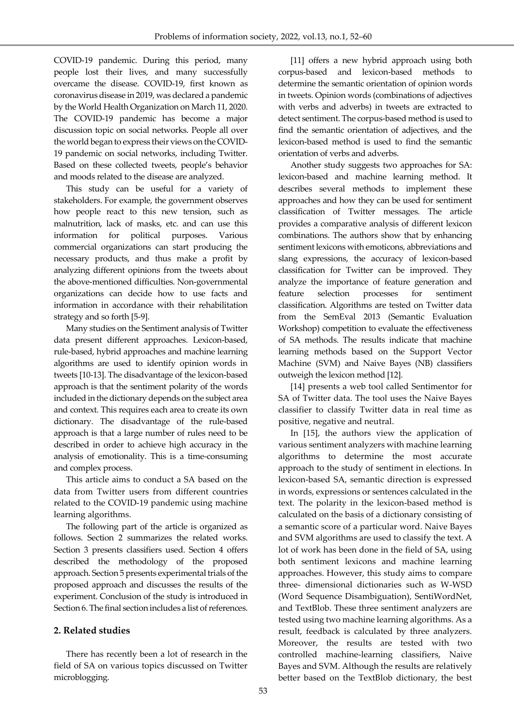COVID-19 pandemic. During this period, many people lost their lives, and many successfully overcame the disease. COVID-19, first known as coronavirus disease in 2019, was declared a pandemic by the World Health Organization on March 11, 2020. The COVID-19 pandemic has become a major discussion topic on social networks. People all over the world began to express their views on the COVID-19 pandemic on social networks, including Twitter. Based on these collected tweets, people's behavior and moods related to the disease are analyzed.

This study can be useful for a variety of stakeholders. For example, the government observes how people react to this new tension, such as malnutrition, lack of masks, etc. and can use this information for political purposes. Various commercial organizations can start producing the necessary products, and thus make a profit by analyzing different opinions from the tweets about the above-mentioned difficulties. Non-governmental organizations can decide how to use facts and information in accordance with their rehabilitation strategy and so forth [5-9].

Many studies on the Sentiment analysis of Twitter data present different approaches. Lexicon-based, rule-based, hybrid approaches and machine learning algorithms are used to identify opinion words in tweets [10-13]. The disadvantage of the lexicon-based approach is that the sentiment polarity of the words included in the dictionary depends on the subject area and context. This requires each area to create its own dictionary. The disadvantage of the rule-based approach is that a large number of rules need to be described in order to achieve high accuracy in the analysis of emotionality. This is a time-consuming and complex process.

This article aims to conduct a SA based on the data from Twitter users from different countries related to the COVID-19 pandemic using machine learning algorithms.

The following part of the article is organized as follows. Section 2 summarizes the related works. Section 3 presents classifiers used. Section 4 offers described the methodology of the proposed approach. Section 5 presents experimental trials of the proposed approach and discusses the results of the experiment. Conclusion of the study is introduced in Section 6. The final section includes a list of references.

#### **2. Related studies**

There has recently been a lot of research in the field of SA on various topics discussed on Twitter microblogging.

[11] offers a new hybrid approach using both corpus-based and lexicon-based methods to determine the semantic orientation of opinion words in tweets. Opinion words (combinations of adjectives with verbs and adverbs) in tweets are extracted to detect sentiment. The corpus-based method is used to find the semantic orientation of adjectives, and the lexicon-based method is used to find the semantic orientation of verbs and adverbs.

Another study suggests two approaches for SA: lexicon-based and machine learning method. It describes several methods to implement these approaches and how they can be used for sentiment classification of Twitter messages. The article provides a comparative analysis of different lexicon combinations. The authors show that by enhancing sentiment lexicons with emoticons, abbreviations and slang expressions, the accuracy of lexicon-based classification for Twitter can be improved. They analyze the importance of feature generation and feature selection processes for sentiment classification. Algorithms are tested on Twitter data from the SemEval 2013 (Semantic Evaluation Workshop) competition to evaluate the effectiveness of SA methods. The results indicate that machine learning methods based on the Support Vector Machine (SVM) and Naive Bayes (NB) classifiers outweigh the lexicon method [12].

[14] presents a web tool called Sentimentor for SA of Twitter data. The tool uses the Naive Bayes classifier to classify Twitter data in real time as positive, negative and neutral.

In [15], the authors view the application of various sentiment analyzers with machine learning algorithms to determine the most accurate approach to the study of sentiment in elections. In lexicon-based SA, semantic direction is expressed in words, expressions or sentences calculated in the text. The polarity in the lexicon-based method is calculated on the basis of a dictionary consisting of a semantic score of a particular word. Naive Bayes and SVM algorithms are used to classify the text. A lot of work has been done in the field of SA, using both sentiment lexicons and machine learning approaches. However, this study aims to compare three- dimensional dictionaries such as W-WSD (Word Sequence Disambiguation), SentiWordNet, and TextBlob. These three sentiment analyzers are tested using two machine learning algorithms. As a result, feedback is calculated by three analyzers. Moreover, the results are tested with two controlled machine-learning classifiers, Naive Bayes and SVM. Although the results are relatively better based on the TextBlob dictionary, the best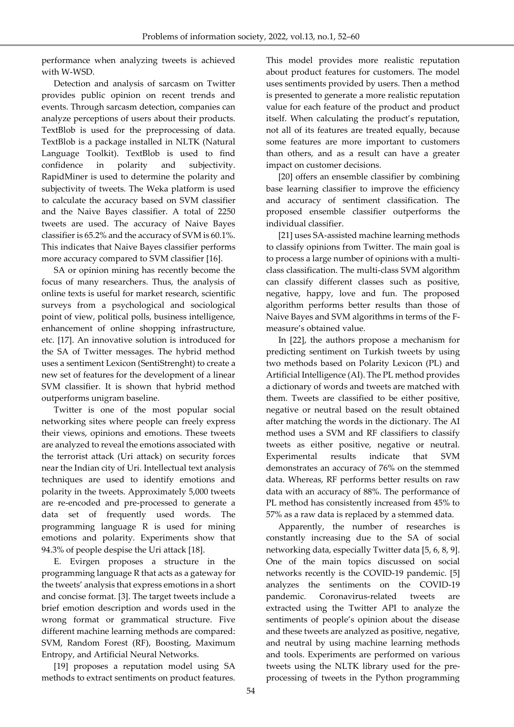performance when analyzing tweets is achieved with W-WSD.

Detection and analysis of sarcasm on Twitter provides public opinion on recent trends and events. Through sarcasm detection, companies can analyze perceptions of users about their products. TextBlob is used for the preprocessing of data. TextBlob is a package installed in NLTK (Natural Language Toolkit). TextBlob is used to find confidence in polarity and subjectivity. RapidMiner is used to determine the polarity and subjectivity of tweets. The Weka platform is used to calculate the accuracy based on SVM classifier and the Naive Bayes classifier. A total of 2250 tweets are used. The accuracy of Naive Bayes classifier is 65.2% and the accuracy of SVM is 60.1%. This indicates that Naive Bayes classifier performs more accuracy compared to SVM classifier [16].

SA or opinion mining has recently become the focus of many researchers. Thus, the analysis of online texts is useful for market research, scientific surveys from a psychological and sociological point of view, political polls, business intelligence, enhancement of online shopping infrastructure, etc. [17]. An innovative solution is introduced for the SA of Twitter messages. The hybrid method uses a sentiment Lexicon (SentiStrenght) to create a new set of features for the development of a linear SVM classifier. It is shown that hybrid method outperforms unigram baseline.

Twitter is one of the most popular social networking sites where people can freely express their views, opinions and emotions. These tweets are analyzed to reveal the emotions associated with the terrorist attack (Uri attack) on security forces near the Indian city of Uri. Intellectual text analysis techniques are used to identify emotions and polarity in the tweets. Approximately 5,000 tweets are re-encoded and pre-processed to generate a data set of frequently used words. The programming language R is used for mining emotions and polarity. Experiments show that 94.3% of people despise the Uri attack [18].

E. Evirgen proposes a structure in the programming language R that acts as a gateway for the tweets' analysis that express emotions in a short and concise format. [3]. The target tweets include a brief emotion description and words used in the wrong format or grammatical structure. Five different machine learning methods are compared: SVM, Random Forest (RF), Boosting, Maximum Entropy, and Artificial Neural Networks.

[19] proposes a reputation model using SA methods to extract sentiments on product features. This model provides more realistic reputation about product features for customers. The model uses sentiments provided by users. Then a method is presented to generate a more realistic reputation value for each feature of the product and product itself. When calculating the product's reputation, not all of its features are treated equally, because some features are more important to customers than others, and as a result can have a greater impact on customer decisions.

[20] offers an ensemble classifier by combining base learning classifier to improve the efficiency and accuracy of sentiment classification. The proposed ensemble classifier outperforms the individual classifier.

[21] uses SA-assisted machine learning methods to classify opinions from Twitter. The main goal is to process a large number of opinions with a multiclass classification. The multi-class SVM algorithm can classify different classes such as positive, negative, happy, love and fun. The proposed algorithm performs better results than those of Naive Bayes and SVM algorithms in terms of the Fmeasure's obtained value.

In [22], the authors propose a mechanism for predicting sentiment on Turkish tweets by using two methods based on Polarity Lexicon (PL) and Artificial Intelligence (AI). The PL method provides a dictionary of words and tweets are matched with them. Tweets are classified to be either positive, negative or neutral based on the result obtained after matching the words in the dictionary. The AI method uses a SVM and RF classifiers to classify tweets as either positive, negative or neutral. Experimental results indicate that SVM demonstrates an accuracy of 76% on the stemmed data. Whereas, RF performs better results on raw data with an accuracy of 88%. The performance of PL method has consistently increased from 45% to 57% as a raw data is replaced by a stemmed data.

Apparently, the number of researches is constantly increasing due to the SA of social networking data, especially Twitter data [5, 6, 8, 9]. One of the main topics discussed on social networks recently is the COVID-19 pandemic. [5] analyzes the sentiments on the COVID-19 pandemic. Coronavirus-related tweets are extracted using the Twitter API to analyze the sentiments of people's opinion about the disease and these tweets are analyzed as positive, negative, and neutral by using machine learning methods and tools. Experiments are performed on various tweets using the NLTK library used for the preprocessing of tweets in the Python programming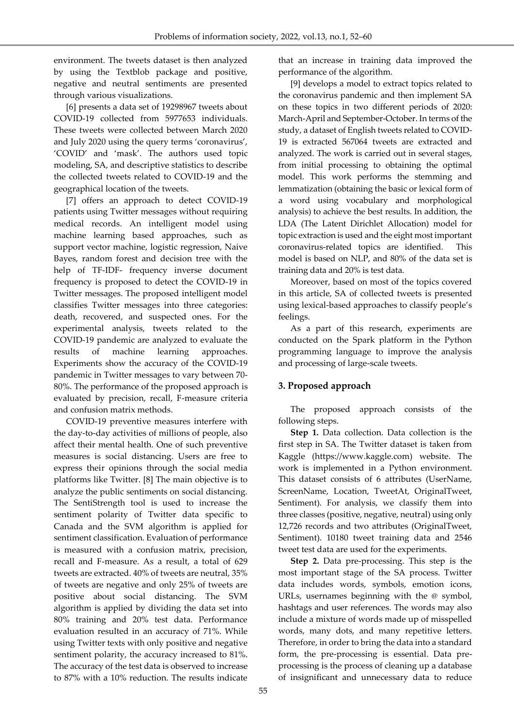environment. The tweets dataset is then analyzed by using the Textblob package and positive, negative and neutral sentiments are presented through various visualizations.

[6] presents a data set of 19298967 tweets about COVID-19 collected from 5977653 individuals. These tweets were collected between March 2020 and July 2020 using the query terms 'coronavirus', 'COVID' and 'mask'. The authors used topic modeling, SA, and descriptive statistics to describe the collected tweets related to COVID-19 and the geographical location of the tweets.

[7] offers an approach to detect COVID-19 patients using Twitter messages without requiring medical records. An intelligent model using machine learning based approaches, such as support vector machine, logistic regression, Naive Bayes, random forest and decision tree with the help of TF-IDF- frequency inverse document frequency is proposed to detect the COVID-19 in Twitter messages. The proposed intelligent model classifies Twitter messages into three categories: death, recovered, and suspected ones. For the experimental analysis, tweets related to the COVID-19 pandemic are analyzed to evaluate the results of machine learning approaches. Experiments show the accuracy of the COVID-19 pandemic in Twitter messages to vary between 70- 80%. The performance of the proposed approach is evaluated by precision, recall, F-measure criteria and confusion matrix methods.

COVID-19 preventive measures interfere with the day-to-day activities of millions of people, also affect their mental health. One of such preventive measures is social distancing. Users are free to express their opinions through the social media platforms like Twitter. [8] The main objective is to analyze the public sentiments on social distancing. The SentiStrength tool is used to increase the sentiment polarity of Twitter data specific to Canada and the SVM algorithm is applied for sentiment classification. Evaluation of performance is measured with a confusion matrix, precision, recall and F-measure. As a result, a total of 629 tweets are extracted. 40% of tweets are neutral, 35% of tweets are negative and only 25% of tweets are positive about social distancing. The SVM algorithm is applied by dividing the data set into 80% training and 20% test data. Performance evaluation resulted in an accuracy of 71%. While using Twitter texts with only positive and negative sentiment polarity, the accuracy increased to 81%. The accuracy of the test data is observed to increase to 87% with a 10% reduction. The results indicate that an increase in training data improved the performance of the algorithm.

[9] develops a model to extract topics related to the coronavirus pandemic and then implement SA on these topics in two different periods of 2020: March-April and September-October. In terms of the study, a dataset of English tweets related to COVID-19 is extracted 567064 tweets are extracted and analyzed. The work is carried out in several stages, from initial processing to obtaining the optimal model. This work performs the stemming and lemmatization (obtaining the basic or lexical form of a word using vocabulary and morphological analysis) to achieve the best results. In addition, the LDA (The Latent Dirichlet Allocation) model for topic extraction is used and the eight most important coronavirus-related topics are identified. This model is based on NLP, and 80% of the data set is training data and 20% is test data.

Moreover, based on most of the topics covered in this article, SA of collected tweets is presented using lexical-based approaches to classify people's feelings.

As a part of this research, experiments are conducted on the Spark platform in the Python programming language to improve the analysis and processing of large-scale tweets.

## **3. Proposed approach**

The proposed approach consists of the following steps.

**Step 1.** Data collection. Data collection is the first step in SA. The Twitter dataset is taken from Kaggle (https://www.kaggle.com) website. The work is implemented in a Python environment. This dataset consists of 6 attributes (UserName, ScreenName, Location, TweetAt, OriginalTweet, Sentiment). For analysis, we classify them into three classes (positive, negative, neutral) using only 12,726 records and two attributes (OriginalTweet, Sentiment). 10180 tweet training data and 2546 tweet test data are used for the experiments.

**Step 2.** Data pre-processing. This step is the most important stage of the SA process. Twitter data includes words, symbols, emotion icons, URLs, usernames beginning with the @ symbol, hashtags and user references. The words may also include a mixture of words made up of misspelled words, many dots, and many repetitive letters. Therefore, in order to bring the data into a standard form, the pre-processing is essential. Data preprocessing is the process of cleaning up a database of insignificant and unnecessary data to reduce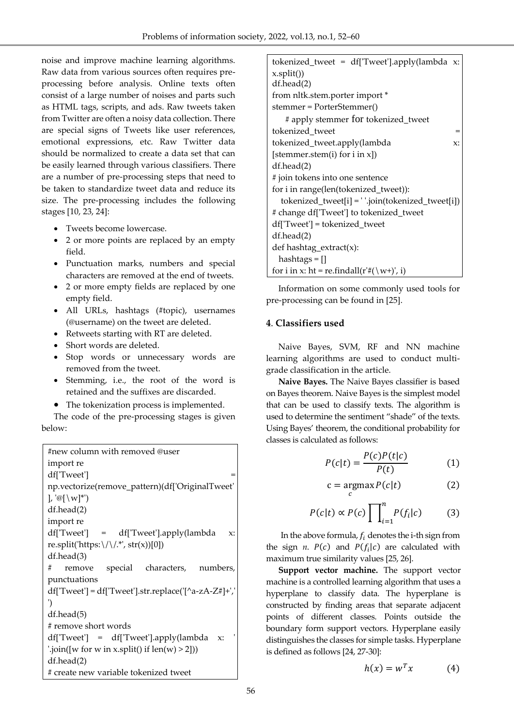noise and improve machine learning algorithms. Raw data from various sources often requires preprocessing before analysis. Online texts often consist of a large number of noises and parts such as HTML tags, scripts, and ads. Raw tweets taken from Twitter are often a noisy data collection. There are special signs of Tweets like user references, emotional expressions, etc. Raw Twitter data should be normalized to create a data set that can be easily learned through various classifiers. There are a number of pre-processing steps that need to be taken to standardize tweet data and reduce its size. The pre-processing includes the following stages [10, 23, 24]:

- Tweets become lowercase.
- 2 or more points are replaced by an empty field.
- Punctuation marks, numbers and special characters are removed at the end of tweets.
- 2 or more empty fields are replaced by one empty field.
- All URLs, hashtags (#topic), usernames (@username) on the tweet are deleted.
- Retweets starting with RT are deleted.
- Short words are deleted.
- Stop words or unnecessary words are removed from the tweet.
- Stemming, i.e., the root of the word is retained and the suffixes are discarded.
- The tokenization process is implemented.

The code of the pre-processing stages is given below:

| #new column with removed @user                                                               |  |  |  |
|----------------------------------------------------------------------------------------------|--|--|--|
| import re                                                                                    |  |  |  |
| df['Tweet']                                                                                  |  |  |  |
| np.vectorize(remove_pattern)(df['OriginalTweet'                                              |  |  |  |
| ], ' $\mathcal{O}[\setminus W]^*$ ')                                                         |  |  |  |
| $df \cdot head(2)$                                                                           |  |  |  |
| import re                                                                                    |  |  |  |
| df['Tweet'] = df['Tweet'].apply(lambda<br>$X$ :                                              |  |  |  |
| re.split('https:\/\/.*', str(x))[0])                                                         |  |  |  |
| $df \cdot head(3)$                                                                           |  |  |  |
| remove special characters, numbers,<br>#                                                     |  |  |  |
| punctuations                                                                                 |  |  |  |
| $df['Tweet'] = df['Tweet'].str.replace('[^a-zA-Z#]+']$                                       |  |  |  |
| ')                                                                                           |  |  |  |
| $df \cdot head(5)$                                                                           |  |  |  |
| # remove short words                                                                         |  |  |  |
| df['Tweet'] = df['Tweet'].apply(lambda x:                                                    |  |  |  |
| $\binom{1}{1}$ : join( $\lceil w \rceil$ for w in x.split() if $\lceil \text{len}(w) \rceil$ |  |  |  |
| $df \cdot head(2)$                                                                           |  |  |  |
| # create new variable tokenized tweet                                                        |  |  |  |

| tokenized_tweet = df['Tweet'].apply(lambda x:        |
|------------------------------------------------------|
| x.split()                                            |
| $df \cdot head(2)$                                   |
| from nltk.stem.porter import *                       |
| stemmer = PorterStemmer()                            |
| # apply stemmer for tokenized_tweet                  |
| tokenized_tweet<br>$=$                               |
| tokenized_tweet.apply(lambda<br>$X$ :                |
| [stemmer.stem(i) for $i$ in $x$ ])                   |
| $df \cdot \text{head}(2)$                            |
| # join tokens into one sentence                      |
| for i in range(len(tokenized_tweet)):                |
| tokenized_tweet[i] = ''.join(tokenized_tweet[i])     |
| # change df['Tweet'] to tokenized_tweet              |
| df['Tweet'] = tokenized_tweet                        |
| $df \text{.head}(2)$                                 |
| def hashtag_extract(x):                              |
| $hashtags = []$                                      |
| for i in x: ht = re.findall( $r'#(\wedge w^+)'$ , i) |

Information on some commonly used tools for pre-processing can be found in [25].

#### **4**. **Classifiers used**

Naive Bayes, SVM, RF and NN machine learning algorithms are used to conduct multigrade classification in the article.

**Naive Bayes.** The Naive Bayes classifier is based on Bayes theorem. Naive Bayes is the simplest model that can be used to classify texts. The algorithm is used to determine the sentiment "shade" of the texts. Using Bayes' theorem, the conditional probability for classes is calculated as follows:

$$
P(c|t) = \frac{P(c)P(t|c)}{P(t)}\tag{1}
$$

$$
c = \underset{c}{\operatorname{argmax}} P(c|t) \tag{2}
$$

$$
P(c|t) \propto P(c) \prod_{i=1}^{n} P(f_i|c) \tag{3}
$$

In the above formula,  $f_i$  denotes the i-th sign from the sign  $n.$   $P(c)$  and  $P(f_i|c)$  are calculated with maximum true similarity values [25, 26].

**Support vector machine.** The support vector machine is a controlled learning algorithm that uses a hyperplane to classify data. The hyperplane is constructed by finding areas that separate adjacent points of different classes. Points outside the boundary form support vectors. Hyperplane easily distinguishes the classes for simple tasks. Hyperplane is defined as follows [24, 27-30]:

$$
h(x) = w^T x \tag{4}
$$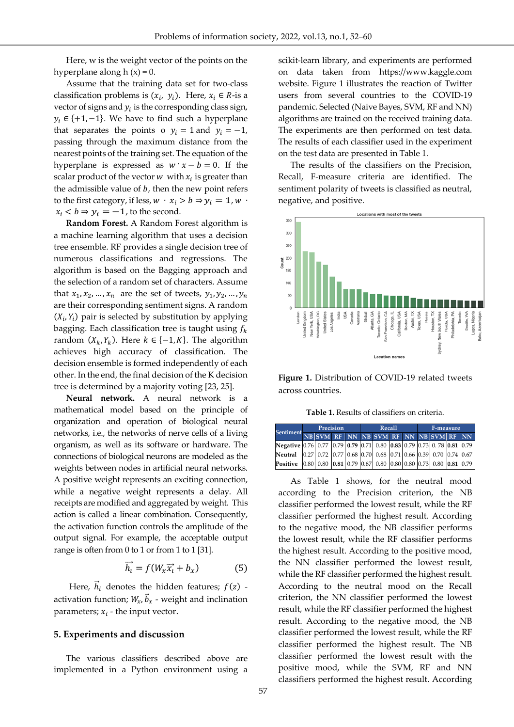Here, w is the weight vector of the points on the hyperplane along  $h(x) = 0$ .

Assume that the training data set for two-class classification problems is  $(x_i, y_i)$ . Here,  $x_i \in R$ -is a vector of signs and  $y_i$  is the corresponding class sign,  $y_i \in \{+1, -1\}$ . We have to find such a hyperplane that separates the points o  $y_i = 1$  and  $y_i = -1$ , passing through the maximum distance from the nearest points of the training set. The equation of the hyperplane is expressed as  $w \cdot x - b = 0$ . If the scalar product of the vector  $w$  with  $x_i$  is greater than the admissible value of  $b$ , then the new point refers to the first category, if less,  $w \cdot x_i > b \Rightarrow y_i = 1, w \cdot$  $x_i$  <  $b \Rightarrow y_i = -1$ , to the second.

**Random Forest.** A Random Forest algorithm is a machine learning algorithm that uses a decision tree ensemble. RF provides a single decision tree of numerous classifications and regressions. The algorithm is based on the Bagging approach and the selection of a random set of characters. Assume that  $x_1, x_2, ..., x_n$  are the set of tweets,  $y_1, y_2, ..., y_n$ are their corresponding sentiment signs. A random are their corresponding sentiment signs. A random  $(X_i, Y_i)$  pair is selected by substitution by applying bagging. Each classification tree is taught using  $f_k$ random  $(X_k, Y_k)$ . Here  $k \in \{-1, K\}$ . The algorithm achieves high accuracy of classification. The decision ensemble is formed independently of each other. In the end, the final decision of the K decision tree is determined by a majority voting [23, 25].

**Neural network.** A neural network is a mathematical model based on the principle of organization and operation of biological neural networks, i.e., the networks of nerve cells of a living organism, as well as its software or hardware. The connections of biological neurons are modeled as the weights between nodes in artificial neural networks. A positive weight represents an exciting connection, while a negative weight represents a delay. All receipts are modified and aggregated by weight. This action is called a linear combination. Consequently, the activation function controls the amplitude of the output signal. For example, the acceptable output range is often from 0 to 1 or from 1 to 1 [31].

$$
\overrightarrow{h_i} = f(W_x \overrightarrow{x_i} + b_x) \tag{5}
$$

Here,  $\vec{h}_i$  denotes the hidden features;  $f(z)$  activation function;  $W_x$ ,  $\vec{b}_x$  - weight and inclination parameters;  $x_i$  - the input vector.

#### **5. Experiments and discussion**

The various classifiers described above are implemented in a Python environment using a scikit-learn library, and experiments are performed on data taken from https://www.kaggle.com website. Figure 1 illustrates the reaction of Twitter users from several countries to the COVID-19 pandemic. Selected (Naive Bayes, SVM, RF and NN) algorithms are trained on the received training data. The experiments are then performed on test data. The results of each classifier used in the experiment on the test data are presented in Table 1.

The results of the classifiers on the Precision, Recall, F-measure criteria are identified. The sentiment polarity of tweets is classified as neutral, negative, and positive.



**Figure 1.** Distribution of COVID-19 related tweets across countries.

**Table 1.** Results of classifiers on criteria.

|                                                                                             | Precision |  |  | Recall |  |  |  | F-measure |  |                                                                                     |  |  |
|---------------------------------------------------------------------------------------------|-----------|--|--|--------|--|--|--|-----------|--|-------------------------------------------------------------------------------------|--|--|
| Sentiment NB SVM RF NN NB SVM RF NN NB SVM RF NN                                            |           |  |  |        |  |  |  |           |  |                                                                                     |  |  |
| Negative 0.76 0.77 0.79 0.79 0.71 0.80 0.83 0.79 0.73 0.78 0.81 0.79                        |           |  |  |        |  |  |  |           |  |                                                                                     |  |  |
| Neutral   0.27   0.72   0.77   0.68   0.70   0.68   0.71   0.66   0.39   0.70   0.74   0.67 |           |  |  |        |  |  |  |           |  |                                                                                     |  |  |
| Positive                                                                                    |           |  |  |        |  |  |  |           |  | $[0.80]$ 0.80 $[0.81]$ 0.79 $[0.67]$ 0.80 $[0.80]$ 0.80 $[0.73]$ 0.80 $[0.81]$ 0.79 |  |  |

As Table 1 shows, for the neutral mood according to the Precision criterion, the NB classifier performed the lowest result, while the RF classifier performed the highest result. According to the negative mood, the NB classifier performs the lowest result, while the RF classifier performs the highest result. According to the positive mood, the NN classifier performed the lowest result, while the RF classifier performed the highest result. According to the neutral mood on the Recall criterion, the NN classifier performed the lowest result, while the RF classifier performed the highest result. According to the negative mood, the NB classifier performed the lowest result, while the RF classifier performed the highest result. The NB classifier performed the lowest result with the positive mood, while the SVM, RF and NN classifiers performed the highest result. According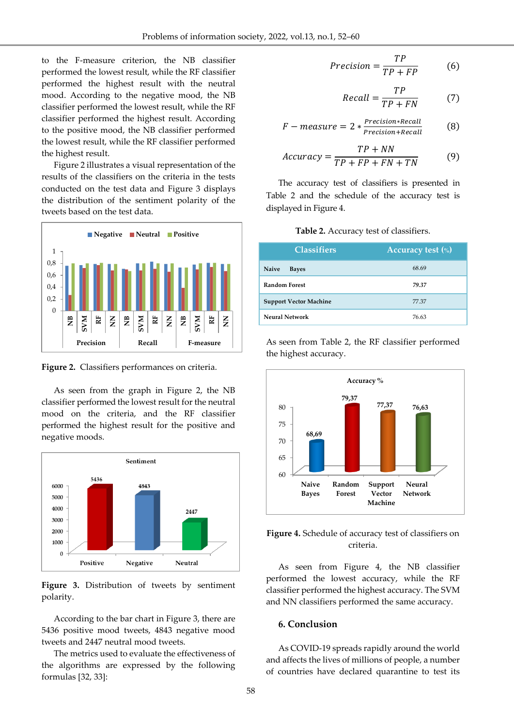to the F-measure criterion, the NB classifier performed the lowest result, while the RF classifier performed the highest result with the neutral mood. According to the negative mood, the NB classifier performed the lowest result, while the RF classifier performed the highest result. According to the positive mood, the NB classifier performed the lowest result, while the RF classifier performed the highest result.

Figure 2 illustrates a visual representation of the results of the classifiers on the criteria in the tests conducted on the test data and Figure 3 displays the distribution of the sentiment polarity of the tweets based on the test data.



**Figure 2.** Classifiers performances on criteria.

As seen from the graph in Figure 2, the NB classifier performed the lowest result for the neutral mood on the criteria, and the RF classifier performed the highest result for the positive and negative moods.



**Figure 3.** Distribution of tweets by sentiment polarity.

According to the bar chart in Figure 3, there are 5436 positive mood tweets, 4843 negative mood tweets and 2447 neutral mood tweets.

The metrics used to evaluate the effectiveness of the algorithms are expressed by the following formulas [32, 33]:

$$
Precision = \frac{TP}{TP + FP}
$$
 (6)

$$
Recall = \frac{TP}{TP + FN} \tag{7}
$$

$$
F-measure = 2 * \frac{Precision * Recall}{Precision + Recall}
$$
 (8)

$$
Accuracy = \frac{TP + NN}{TP + FP + FN + TN}
$$
 (9)

The accuracy test of classifiers is presented in Table 2 and the schedule of the accuracy test is displayed in Figure 4.

**Table 2.** Accuracy test of classifiers.

| <b>Classifiers</b>            | <b>Accuracy test (%)</b> |  |  |  |  |
|-------------------------------|--------------------------|--|--|--|--|
| <b>Naive</b><br><b>Bayes</b>  | 68.69                    |  |  |  |  |
| <b>Random Forest</b>          | 79.37                    |  |  |  |  |
| <b>Support Vector Machine</b> | 77.37                    |  |  |  |  |
| <b>Neural Network</b>         | 76.63                    |  |  |  |  |

As seen from Table 2, the RF classifier performed the highest accuracy.



**Figure 4.** Schedule of accuracy test of classifiers on criteria.

As seen from Figure 4, the NB classifier performed the lowest accuracy, while the RF classifier performed the highest accuracy. The SVM and NN classifiers performed the same accuracy.

#### **6. Conclusion**

As COVID-19 spreads rapidly around the world and affects the lives of millions of people, a number of countries have declared quarantine to test its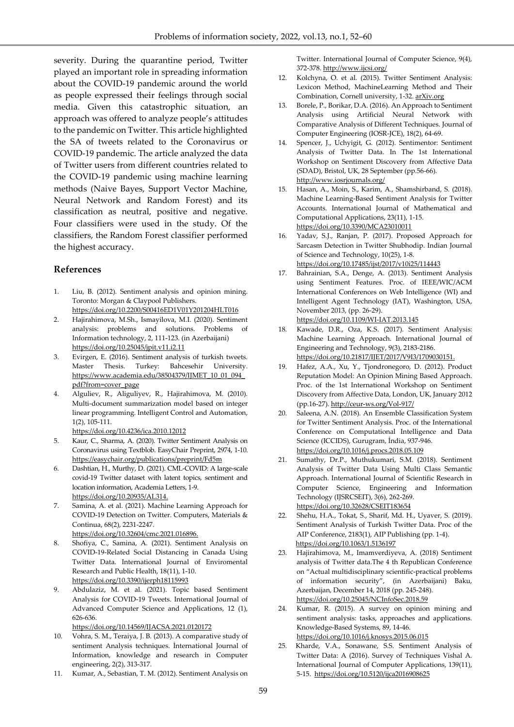severity. During the quarantine period, Twitter played an important role in spreading information about the COVID-19 pandemic around the world as people expressed their feelings through social media. Given this catastrophic situation, an approach was offered to analyze people's attitudes to the pandemic on Twitter. This article highlighted the SA of tweets related to the Coronavirus or COVID-19 pandemic. The article analyzed the data of Twitter users from different countries related to the COVID-19 pandemic using machine learning methods (Naive Bayes, Support Vector Machine, Neural Network and Random Forest) and its classification as neutral, positive and negative. Four classifiers were used in the study. Of the classifiers, the Random Forest classifier performed the highest accuracy.

#### **References**

- 1. Liu, B. (2012). Sentiment analysis and opinion mining. Toronto: Morgan & Claypool Publishers. <https://doi.org/10.2200/S00416ED1V01Y201204HLT016>
- 2. Hajirahimova, M.Sh., Ismayilova, M.I. (2020). Sentiment analysis: problems and solutions. Problems of Information technology, 2, 111-123. (in Azerbaijani) https://doi.org[/10.25045/jpit.v11.i2.11](http://dx.doi.org/10.25045/jpit.v11.i2.11)
- 3. Evirgen, E. (2016). Sentiment analysis of turkish tweets. Master Thesis. Turkey: Bahcesehir University. https://www.academia.edu/38504379/IJMET\_10\_01\_094 pdf?from=cover\_page
- 4. Alguliev, R., Aliguliyev, R., Hajirahimova, M. (2010). Multi-document summarization model based on integer linear programming. Intelligent Control and Automation, 1(2), 105-111.
	- https://doi.org[/10.4236/ica.2010.12012](http://dx.doi.org/10.4236/ica.2010.12012)
- 5. Kaur, C., Sharma, A. (2020). Twitter Sentiment Analysis on Coronavirus using Textblob. EasyChair Preprint, 2974, 1-10. <https://easychair.org/publications/preprint/Fd5m>
- 6. Dashtian, H., Murthy, D. (2021). CML-COVID: A large-scale covid-19 Twitter dataset with latent topics, sentiment and location information, Academia Letters, 1-9. https://doi.org[/10.20935/AL314.](https://doi.org/10.20935/AL314)
- 7. Samina, A. et al. (2021). Machine Learning Approach for COVID-19 Detection on Twitter. Computers, Materials & Continua, 68(2), 2231-2247. [https://doi.org/10.32604/cmc.2021.016896.](https://doi.org/10.32604/cmc.2021.016896)
- 8. Shofiya, C., Samina, A. (2021). Sentiment Analysis on COVID-19-Related Social Distancing in Canada Using Twitter Data. International Journal of Enviromental Research and Public Health, 18(11), 1-10. https://doi.org[/10.3390/ijerph18115993](https://dx.doi.org/10.3390%2Fijerph18115993)
- 9. Abdulaziz, M. et al. (2021). Topic based Sentiment Analysis for COVID-19 Tweets. International Journal of Advanced Computer Science and Applications, 12 (1), 626-636.

https://doi.org[/10.14569/IJACSA.2021.0120172](http://dx.doi.org/10.14569/IJACSA.2021.0120172)

- 10. Vohra, S. M., Teraiya, J. B. (2013). A comparative study of sentiment Analysis techniques. İnternational Journal of Information, knowledge and research in Computer engineering, 2(2), 313-317.
- 11. Kumar, A., Sebastian, T. M. (2012). Sentiment Analysis on

Twitter. International Journal of Computer Science, 9(4), 372-378[. http://www.ijcsi.org/](http://www.ijcsi.org/)

- 12. Kolchyna, O. et al. (2015). Twitter Sentiment Analysis: Lexicon Method, MachineLearning Method and Their Combination, Cornell university, 1-32. arXiv.org
- 13. Borele, P., Borikar, D.A. (2016). An Approach to Sentiment Analysis using Artificial Neural Network with Comparative Analysis of Different Techniques. Journal of Computer Engineering (IOSR-JCE), 18(2), 64-69.
- 14. Spencer, J., Uchyigit, G. (2012). Sentimentor: Sentiment Analysis of Twitter Data. In The 1st International Workshop on Sentiment Discovery from Affective Data (SDAD), Bristol, UK, 28 September (pp.56-66). http://www.iosrjournals.org/
- 15. Hasan, A., Moin, S., Karim, A., Shamshirband, S. (2018). Machine Learning-Based Sentiment Analysis for Twitter Accounts. International Journal of Mathematical and Computational Applications, 23(11), 1-15. https://doi.org[/10.3390/MCA23010011](https://doi.org/10.3390/MCA23010011)
- 16. Yadav, S.J., Ranjan, P. (2017). Proposed Approach for Sarcasm Detection in Twitter Shubhodip. Indian Journal of Science and Technology, 10(25), 1-8. https://doi.org[/10.17485/ijst/2017/v10i25/114443](https://dx.doi.org/10.17485/ijst/2017/v10i25/114443)
- 17. Bahrainian, S.A., Denge, A. (2013). Sentiment Analysis using Sentiment Features. Proc. of IEEE/WIC/ACM International Conferences on Web Intelligence (WI) and Intelligent Agent Technology (IAT), Washington, USA, November 2013, (pp. 26-29).

https://doi.org[/10.1109/WI-IAT.2013.145](https://doi.org/10.1109/WI-IAT.2013.145)

- 18. Kawade, D.R., Oza, K.S. (2017). Sentiment Analysis: Machine Learning Approach. International Journal of Engineering and Technology, 9(3), 2183-2186. https://doi.org[/10.21817/IJET/2017/V9I3/1709030151.](https://doi.org/10.21817/IJET%2F2017%2FV9I3%2F1709030151)
- 19. Hafez, A.A., Xu, Y., Tjondronegoro, D. (2012). Product Reputation Model: An Opinion Mining Based Approach. Proc. of the 1st International Workshop on Sentiment Discovery from Affective Data, London, UK, January 2012 (pp.16-27). <http://ceur-ws.org/Vol-917/>
- 20. Saleena, A.N. (2018). An Ensemble Classification System for Twitter Sentiment Analysis. Proc. of the International Conference on Computational Intelligence and Data Science (ICCIDS), Gurugram, İndia, 937-946. <https://doi.org/10.1016/j.procs.2018.05.109>
- 21. Sumathy, Dr.P., Muthukumari, S.M. (2018). Sentiment Analysis of Twitter Data Using Multi Class Semantic Approach. International Journal of Scientific Research in Computer Science, Engineering and Information Technology (IJSRCSEIT), 3(6), 262-269. https://doi.org[/10.32628/CSEIT183654](https://ijsrcseit.com/paper/CSEIT183654.pdf)
- 22. Shehu, H.A., Tokat, S., Sharif, Md. H., Uyaver, S. (2019). Sentiment Analysis of Turkish Twitter Data. Proc of the AIP Conference, 2183(1), AIP Publishing (pp. 1-4). <https://doi.org/10.1063/1.5136197>
- 23. Hajirahimova, M., Imamverdiyeva, A. (2018) Sentiment analysis of Twitter data.The 4 th Republican Conference on "Actual multidisciplinary scientific-practical problems of information security", (in Azerbaijani) Baku, Azerbaijan, December 14, 2018 (pp. 245-248). <https://doi.org/10.25045/NCInfoSec.2018.59>
- 24. Kumar, R. (2015). A survey on opinion mining and sentiment analysis: tasks, approaches and applications. Knowledge-Based Systems, 89, 14-46. https://doi.org[/10.1016/j.knosys.2015.06.015](http://dx.doi.org/10.1016/j.knosys.2015.06.015)
- 25. Kharde, V.A., Sonawane, S.S. Sentiment Analysis of Twitter Data: A (2016). Survey of Techniques Vishal A. International Journal of Computer Applications, 139(11), 5-15. https://doi.or[g/10.5120/ijca2016908625](https://arxiv.org/ct?url=https%3A%2F%2Fdx.doi.org%2F10.5120%2Fijca2016908625&v=a5eb071f)